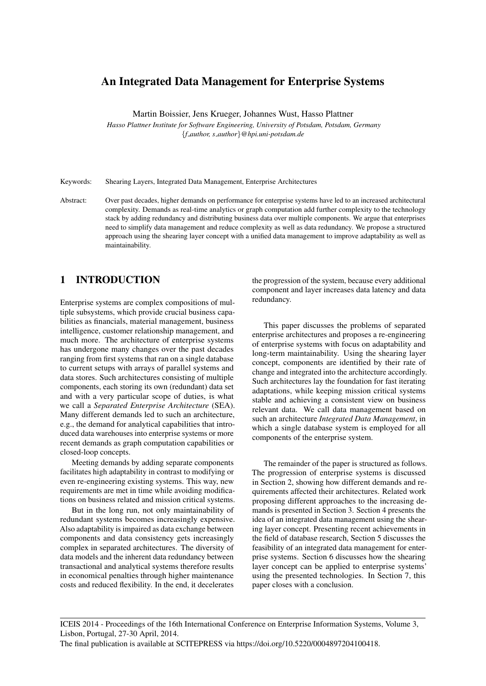# An Integrated Data Management for Enterprise Systems

Martin Boissier, Jens Krueger, Johannes Wust, Hasso Plattner

*Hasso Plattner Institute for Software Engineering, University of Potsdam, Potsdam, Germany* {*f author, s author*}*@hpi.uni-potsdam.de*

Keywords: Shearing Layers, Integrated Data Management, Enterprise Architectures

Abstract: Over past decades, higher demands on performance for enterprise systems have led to an increased architectural complexity. Demands as real-time analytics or graph computation add further complexity to the technology stack by adding redundancy and distributing business data over multiple components. We argue that enterprises need to simplify data management and reduce complexity as well as data redundancy. We propose a structured approach using the shearing layer concept with a unified data management to improve adaptability as well as maintainability.

## 1 INTRODUCTION

Enterprise systems are complex compositions of multiple subsystems, which provide crucial business capabilities as financials, material management, business intelligence, customer relationship management, and much more. The architecture of enterprise systems has undergone many changes over the past decades ranging from first systems that ran on a single database to current setups with arrays of parallel systems and data stores. Such architectures consisting of multiple components, each storing its own (redundant) data set and with a very particular scope of duties, is what we call a *Separated Enterprise Architecture* (SEA). Many different demands led to such an architecture, e.g., the demand for analytical capabilities that introduced data warehouses into enterprise systems or more recent demands as graph computation capabilities or closed-loop concepts.

Meeting demands by adding separate components facilitates high adaptability in contrast to modifying or even re-engineering existing systems. This way, new requirements are met in time while avoiding modifications on business related and mission critical systems.

But in the long run, not only maintainability of redundant systems becomes increasingly expensive. Also adaptability is impaired as data exchange between components and data consistency gets increasingly complex in separated architectures. The diversity of data models and the inherent data redundancy between transactional and analytical systems therefore results in economical penalties through higher maintenance costs and reduced flexibility. In the end, it decelerates

the progression of the system, because every additional component and layer increases data latency and data redundancy.

This paper discusses the problems of separated enterprise architectures and proposes a re-engineering of enterprise systems with focus on adaptability and long-term maintainability. Using the shearing layer concept, components are identified by their rate of change and integrated into the architecture accordingly. Such architectures lay the foundation for fast iterating adaptations, while keeping mission critical systems stable and achieving a consistent view on business relevant data. We call data management based on such an architecture *Integrated Data Management*, in which a single database system is employed for all components of the enterprise system.

The remainder of the paper is structured as follows. The progression of enterprise systems is discussed in Section 2, showing how different demands and requirements affected their architectures. Related work proposing different approaches to the increasing demands is presented in Section 3. Section 4 presents the idea of an integrated data management using the shearing layer concept. Presenting recent achievements in the field of database research, Section 5 discusses the feasibility of an integrated data management for enterprise systems. Section 6 discusses how the shearing layer concept can be applied to enterprise systems' using the presented technologies. In Section 7, this paper closes with a conclusion.

ICEIS 2014 - Proceedings of the 16th International Conference on Enterprise Information Systems, Volume 3, Lisbon, Portugal, 27-30 April, 2014.

The final publication is available at SCITEPRESS via https://doi.org/10.5220/0004897204100418.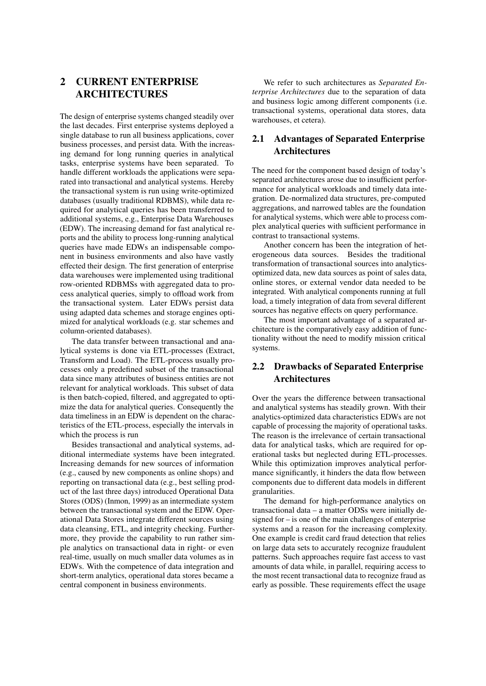# 2 CURRENT ENTERPRISE ARCHITECTURES

The design of enterprise systems changed steadily over the last decades. First enterprise systems deployed a single database to run all business applications, cover business processes, and persist data. With the increasing demand for long running queries in analytical tasks, enterprise systems have been separated. To handle different workloads the applications were separated into transactional and analytical systems. Hereby the transactional system is run using write-optimized databases (usually traditional RDBMS), while data required for analytical queries has been transferred to additional systems, e.g., Enterprise Data Warehouses (EDW). The increasing demand for fast analytical reports and the ability to process long-running analytical queries have made EDWs an indispensable component in business environments and also have vastly effected their design. The first generation of enterprise data warehouses were implemented using traditional row-oriented RDBMSs with aggregated data to process analytical queries, simply to offload work from the transactional system. Later EDWs persist data using adapted data schemes and storage engines optimized for analytical workloads (e.g. star schemes and column-oriented databases).

The data transfer between transactional and analytical systems is done via ETL-processes (Extract, Transform and Load). The ETL-process usually processes only a predefined subset of the transactional data since many attributes of business entities are not relevant for analytical workloads. This subset of data is then batch-copied, filtered, and aggregated to optimize the data for analytical queries. Consequently the data timeliness in an EDW is dependent on the characteristics of the ETL-process, especially the intervals in which the process is run

Besides transactional and analytical systems, additional intermediate systems have been integrated. Increasing demands for new sources of information (e.g., caused by new components as online shops) and reporting on transactional data (e.g., best selling product of the last three days) introduced Operational Data Stores (ODS) (Inmon, 1999) as an intermediate system between the transactional system and the EDW. Operational Data Stores integrate different sources using data cleansing, ETL, and integrity checking. Furthermore, they provide the capability to run rather simple analytics on transactional data in right- or even real-time, usually on much smaller data volumes as in EDWs. With the competence of data integration and short-term analytics, operational data stores became a central component in business environments.

We refer to such architectures as *Separated Enterprise Architectures* due to the separation of data and business logic among different components (i.e. transactional systems, operational data stores, data warehouses, et cetera).

### 2.1 Advantages of Separated Enterprise **Architectures**

The need for the component based design of today's separated architectures arose due to insufficient performance for analytical workloads and timely data integration. De-normalized data structures, pre-computed aggregations, and narrowed tables are the foundation for analytical systems, which were able to process complex analytical queries with sufficient performance in contrast to transactional systems.

Another concern has been the integration of heterogeneous data sources. Besides the traditional transformation of transactional sources into analyticsoptimized data, new data sources as point of sales data, online stores, or external vendor data needed to be integrated. With analytical components running at full load, a timely integration of data from several different sources has negative effects on query performance.

The most important advantage of a separated architecture is the comparatively easy addition of functionality without the need to modify mission critical systems.

## 2.2 Drawbacks of Separated Enterprise Architectures

Over the years the difference between transactional and analytical systems has steadily grown. With their analytics-optimized data characteristics EDWs are not capable of processing the majority of operational tasks. The reason is the irrelevance of certain transactional data for analytical tasks, which are required for operational tasks but neglected during ETL-processes. While this optimization improves analytical performance significantly, it hinders the data flow between components due to different data models in different granularities.

The demand for high-performance analytics on transactional data – a matter ODSs were initially designed for – is one of the main challenges of enterprise systems and a reason for the increasing complexity. One example is credit card fraud detection that relies on large data sets to accurately recognize fraudulent patterns. Such approaches require fast access to vast amounts of data while, in parallel, requiring access to the most recent transactional data to recognize fraud as early as possible. These requirements effect the usage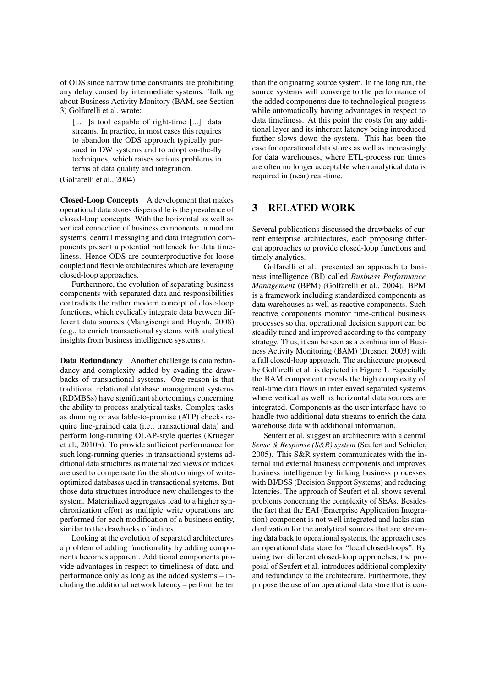of ODS since narrow time constraints are prohibiting any delay caused by intermediate systems. Talking about Business Activity Monitory (BAM, see Section 3) Golfarelli et al. wrote:

[... ] a tool capable of right-time [...] data streams. In practice, in most cases this requires to abandon the ODS approach typically pursued in DW systems and to adopt on-the-fly techniques, which raises serious problems in terms of data quality and integration.

(Golfarelli et al., 2004)

Closed-Loop Concepts A development that makes operational data stores dispensable is the prevalence of closed-loop concepts. With the horizontal as well as vertical connection of business components in modern systems, central messaging and data integration components present a potential bottleneck for data timeliness. Hence ODS are counterproductive for loose coupled and flexible architectures which are leveraging closed-loop approaches.

Furthermore, the evolution of separating business components with separated data and responsibilities contradicts the rather modern concept of close-loop functions, which cyclically integrate data between different data sources (Mangisengi and Huynh, 2008) (e.g., to enrich transactional systems with analytical insights from business intelligence systems).

Data Redundancy Another challenge is data redundancy and complexity added by evading the drawbacks of transactional systems. One reason is that traditional relational database management systems (RDMBSs) have significant shortcomings concerning the ability to process analytical tasks. Complex tasks as dunning or available-to-promise (ATP) checks require fine-grained data (i.e., transactional data) and perform long-running OLAP-style queries (Krueger et al., 2010b). To provide sufficient performance for such long-running queries in transactional systems additional data structures as materialized views or indices are used to compensate for the shortcomings of writeoptimized databases used in transactional systems. But those data structures introduce new challenges to the system. Materialized aggregates lead to a higher synchronization effort as multiple write operations are performed for each modification of a business entity, similar to the drawbacks of indices.

Looking at the evolution of separated architectures a problem of adding functionality by adding components becomes apparent. Additional components provide advantages in respect to timeliness of data and performance only as long as the added systems – including the additional network latency – perform better

than the originating source system. In the long run, the source systems will converge to the performance of the added components due to technological progress while automatically having advantages in respect to data timeliness. At this point the costs for any additional layer and its inherent latency being introduced further slows down the system. This has been the case for operational data stores as well as increasingly for data warehouses, where ETL-process run times are often no longer acceptable when analytical data is required in (near) real-time.

### 3 RELATED WORK

Several publications discussed the drawbacks of current enterprise architectures, each proposing different approaches to provide closed-loop functions and timely analytics.

Golfarelli et al. presented an approach to business intelligence (BI) called *Business Performance Management* (BPM) (Golfarelli et al., 2004). BPM is a framework including standardized components as data warehouses as well as reactive components. Such reactive components monitor time-critical business processes so that operational decision support can be steadily tuned and improved according to the company strategy. Thus, it can be seen as a combination of Business Activity Monitoring (BAM) (Dresner, 2003) with a full closed-loop approach. The architecture proposed by Golfarelli et al. is depicted in Figure 1. Especially the BAM component reveals the high complexity of real-time data flows in interleaved separated systems where vertical as well as horizontal data sources are integrated. Components as the user interface have to handle two additional data streams to enrich the data warehouse data with additional information.

Seufert et al. suggest an architecture with a central *Sense & Response (S&R) system* (Seufert and Schiefer, 2005). This S&R system communicates with the internal and external business components and improves business intelligence by linking business processes with BI/DSS (Decision Support Systems) and reducing latencies. The approach of Seufert et al. shows several problems concerning the complexity of SEAs. Besides the fact that the EAI (Enterprise Application Integration) component is not well integrated and lacks standardization for the analytical sources that are streaming data back to operational systems, the approach uses an operational data store for "local closed-loops". By using two different closed-loop approaches, the proposal of Seufert et al. introduces additional complexity and redundancy to the architecture. Furthermore, they propose the use of an operational data store that is con-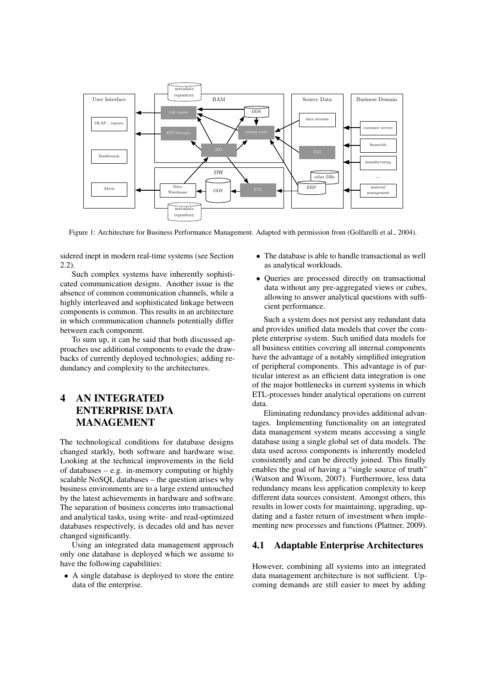

Figure 1: Architecture for Business Performance Management. Adapted with permission from (Golfarelli et al., 2004).

sidered inept in modern real-time systems (see Section 2.2).

Such complex systems have inherently sophisticated communication designs. Another issue is the absence of common communication channels, while a highly interleaved and sophisticated linkage between components is common. This results in an architecture in which communication channels potentially differ between each component.

To sum up, it can be said that both discussed approaches use additional components to evade the drawbacks of currently deployed technologies; adding redundancy and complexity to the architectures.

# 4 AN INTEGRATED ENTERPRISE DATA MANAGEMENT

The technological conditions for database designs changed starkly, both software and hardware wise. Looking at the technical improvements in the field of databases – e.g. in-memory computing or highly scalable NoSQL databases – the question arises why business environments are to a large extend untouched by the latest achievements in hardware and software. The separation of business concerns into transactional and analytical tasks, using write- and read-optimized databases respectively, is decades old and has never changed significantly.

Using an integrated data management approach only one database is deployed which we assume to have the following capabilities:

• A single database is deployed to store the entire data of the enterprise.

- The database is able to handle transactional as well as analytical workloads.
- Queries are processed directly on transactional data without any pre-aggregated views or cubes, allowing to answer analytical questions with sufficient performance.

Such a system does not persist any redundant data and provides unified data models that cover the complete enterprise system. Such unified data models for all business entities covering all internal components have the advantage of a notably simplified integration of peripheral components. This advantage is of particular interest as an efficient data integration is one of the major bottlenecks in current systems in which ETL-processes hinder analytical operations on current data.

Eliminating redundancy provides additional advantages. Implementing functionality on an integrated data management system means accessing a single database using a single global set of data models. The data used across components is inherently modeled consistently and can be directly joined. This finally enables the goal of having a "single source of truth" (Watson and Wixom, 2007). Furthermore, less data redundancy means less application complexity to keep different data sources consistent. Amongst others, this results in lower costs for maintaining, upgrading, updating and a faster return of investment when implementing new processes and functions (Plattner, 2009).

#### 4.1 Adaptable Enterprise Architectures

However, combining all systems into an integrated data management architecture is not sufficient. Upcoming demands are still easier to meet by adding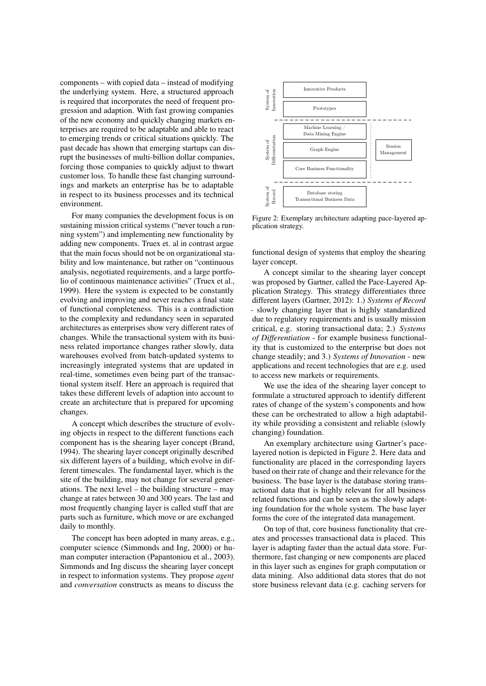components – with copied data – instead of modifying the underlying system. Here, a structured approach is required that incorporates the need of frequent progression and adaption. With fast growing companies of the new economy and quickly changing markets enterprises are required to be adaptable and able to react to emerging trends or critical situations quickly. The past decade has shown that emerging startups can disrupt the businesses of multi-billion dollar companies, forcing those companies to quickly adjust to thwart customer loss. To handle these fast changing surroundings and markets an enterprise has be to adaptable in respect to its business processes and its technical environment.

For many companies the development focus is on sustaining mission critical systems ("never touch a running system") and implementing new functionality by adding new components. Truex et. al in contrast argue that the main focus should not be on organizational stability and low maintenance, but rather on "continuous analysis, negotiated requirements, and a large portfolio of continuous maintenance activities" (Truex et al., 1999). Here the system is expected to be constantly evolving and improving and never reaches a final state of functional completeness. This is a contradiction to the complexity and redundancy seen in separated architectures as enterprises show very different rates of changes. While the transactional system with its business related importance changes rather slowly, data warehouses evolved from batch-updated systems to increasingly integrated systems that are updated in real-time, sometimes even being part of the transactional system itself. Here an approach is required that takes these different levels of adaption into account to create an architecture that is prepared for upcoming changes.

A concept which describes the structure of evolving objects in respect to the different functions each component has is the shearing layer concept (Brand, 1994). The shearing layer concept originally described six different layers of a building, which evolve in different timescales. The fundamental layer, which is the site of the building, may not change for several generations. The next level – the building structure – may change at rates between 30 and 300 years. The last and most frequently changing layer is called stuff that are parts such as furniture, which move or are exchanged daily to monthly.

The concept has been adopted in many areas, e.g., computer science (Simmonds and Ing, 2000) or human computer interaction (Papantoniou et al., 2003). Simmonds and Ing discuss the shearing layer concept in respect to information systems. They propose *agent* and *conversation* constructs as means to discuss the



Figure 2: Exemplary architecture adapting pace-layered application strategy.

functional design of systems that employ the shearing layer concept.

A concept similar to the shearing layer concept was proposed by Gartner, called the Pace-Layered Application Strategy. This strategy differentiates three different layers (Gartner, 2012): 1.) *Systems of Record* - slowly changing layer that is highly standardized due to regulatory requirements and is usually mission critical, e.g. storing transactional data; 2.) *Systems of Differentiation* - for example business functionality that is customized to the enterprise but does not change steadily; and 3.) *Systems of Innovation* - new applications and recent technologies that are e.g. used to access new markets or requirements.

We use the idea of the shearing layer concept to formulate a structured approach to identify different rates of change of the system's components and how these can be orchestrated to allow a high adaptability while providing a consistent and reliable (slowly changing) foundation.

An exemplary architecture using Gartner's pacelayered notion is depicted in Figure 2. Here data and functionality are placed in the corresponding layers based on their rate of change and their relevance for the business. The base layer is the database storing transactional data that is highly relevant for all business related functions and can be seen as the slowly adapting foundation for the whole system. The base layer forms the core of the integrated data management.

On top of that, core business functionality that creates and processes transactional data is placed. This layer is adapting faster than the actual data store. Furthermore, fast changing or new components are placed in this layer such as engines for graph computation or data mining. Also additional data stores that do not store business relevant data (e.g. caching servers for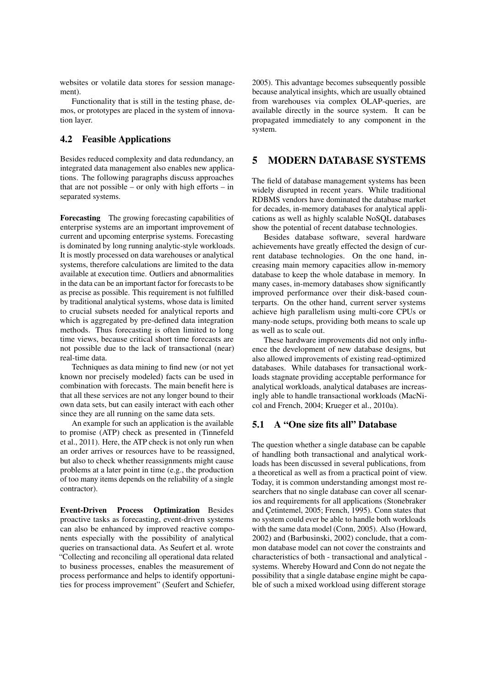websites or volatile data stores for session management).

Functionality that is still in the testing phase, demos, or prototypes are placed in the system of innovation layer.

#### 4.2 Feasible Applications

Besides reduced complexity and data redundancy, an integrated data management also enables new applications. The following paragraphs discuss approaches that are not possible – or only with high efforts – in separated systems.

Forecasting The growing forecasting capabilities of enterprise systems are an important improvement of current and upcoming enterprise systems. Forecasting is dominated by long running analytic-style workloads. It is mostly processed on data warehouses or analytical systems, therefore calculations are limited to the data available at execution time. Outliers and abnormalities in the data can be an important factor for forecasts to be as precise as possible. This requirement is not fulfilled by traditional analytical systems, whose data is limited to crucial subsets needed for analytical reports and which is aggregated by pre-defined data integration methods. Thus forecasting is often limited to long time views, because critical short time forecasts are not possible due to the lack of transactional (near) real-time data.

Techniques as data mining to find new (or not yet known nor precisely modeled) facts can be used in combination with forecasts. The main benefit here is that all these services are not any longer bound to their own data sets, but can easily interact with each other since they are all running on the same data sets.

An example for such an application is the available to promise (ATP) check as presented in (Tinnefeld et al., 2011). Here, the ATP check is not only run when an order arrives or resources have to be reassigned, but also to check whether reassignments might cause problems at a later point in time (e.g., the production of too many items depends on the reliability of a single contractor).

Event-Driven Process Optimization Besides proactive tasks as forecasting, event-driven systems can also be enhanced by improved reactive components especially with the possibility of analytical queries on transactional data. As Seufert et al. wrote "Collecting and reconciling all operational data related to business processes, enables the measurement of process performance and helps to identify opportunities for process improvement" (Seufert and Schiefer, 2005). This advantage becomes subsequently possible because analytical insights, which are usually obtained from warehouses via complex OLAP-queries, are available directly in the source system. It can be propagated immediately to any component in the system.

#### 5 MODERN DATABASE SYSTEMS

The field of database management systems has been widely disrupted in recent years. While traditional RDBMS vendors have dominated the database market for decades, in-memory databases for analytical applications as well as highly scalable NoSQL databases show the potential of recent database technologies.

Besides database software, several hardware achievements have greatly effected the design of current database technologies. On the one hand, increasing main memory capacities allow in-memory database to keep the whole database in memory. In many cases, in-memory databases show significantly improved performance over their disk-based counterparts. On the other hand, current server systems achieve high parallelism using multi-core CPUs or many-node setups, providing both means to scale up as well as to scale out.

These hardware improvements did not only influence the development of new database designs, but also allowed improvements of existing read-optimized databases. While databases for transactional workloads stagnate providing acceptable performance for analytical workloads, analytical databases are increasingly able to handle transactional workloads (MacNicol and French, 2004; Krueger et al., 2010a).

### 5.1 A "One size fits all" Database

The question whether a single database can be capable of handling both transactional and analytical workloads has been discussed in several publications, from a theoretical as well as from a practical point of view. Today, it is common understanding amongst most researchers that no single database can cover all scenarios and requirements for all applications (Stonebraker and Cetintemel, 2005; French, 1995). Conn states that no system could ever be able to handle both workloads with the same data model (Conn, 2005). Also (Howard, 2002) and (Barbusinski, 2002) conclude, that a common database model can not cover the constraints and characteristics of both - transactional and analytical systems. Whereby Howard and Conn do not negate the possibility that a single database engine might be capable of such a mixed workload using different storage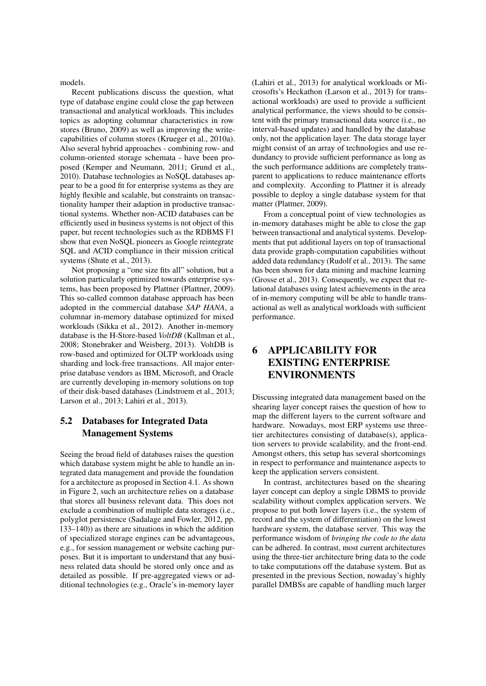models.

Recent publications discuss the question, what type of database engine could close the gap between transactional and analytical workloads. This includes topics as adopting columnar characteristics in row stores (Bruno, 2009) as well as improving the writecapabilities of column stores (Krueger et al., 2010a). Also several hybrid approaches - combining row- and column-oriented storage schemata - have been proposed (Kemper and Neumann, 2011; Grund et al., 2010). Database technologies as NoSQL databases appear to be a good fit for enterprise systems as they are highly flexible and scalable, but constraints on transactionality hamper their adaption in productive transactional systems. Whether non-ACID databases can be efficiently used in business systems is not object of this paper, but recent technologies such as the RDBMS F1 show that even NoSQL pioneers as Google reintegrate SQL and ACID compliance in their mission critical systems (Shute et al., 2013).

Not proposing a "one size fits all" solution, but a solution particularly optimized towards enterprise systems, has been proposed by Plattner (Plattner, 2009). This so-called common database approach has been adopted in the commercial database *SAP HANA*, a columnar in-memory database optimized for mixed workloads (Sikka et al., 2012). Another in-memory database is the H-Store-based *VoltDB* (Kallman et al., 2008; Stonebraker and Weisberg, 2013). VoltDB is row-based and optimized for OLTP workloads using sharding and lock-free transactions. All major enterprise database vendors as IBM, Microsoft, and Oracle are currently developing in-memory solutions on top of their disk-based databases (Lindstroem et al., 2013; Larson et al., 2013; Lahiri et al., 2013).

### 5.2 Databases for Integrated Data Management Systems

Seeing the broad field of databases raises the question which database system might be able to handle an integrated data management and provide the foundation for a architecture as proposed in Section 4.1. As shown in Figure 2, such an architecture relies on a database that stores all business relevant data. This does not exclude a combination of multiple data storages (i.e., polyglot persistence (Sadalage and Fowler, 2012, pp. 133–140)) as there are situations in which the addition of specialized storage engines can be advantageous, e.g., for session management or website caching purposes. But it is important to understand that any business related data should be stored only once and as detailed as possible. If pre-aggregated views or additional technologies (e.g., Oracle's in-memory layer (Lahiri et al., 2013) for analytical workloads or Microsofts's Heckathon (Larson et al., 2013) for transactional workloads) are used to provide a sufficient analytical performance, the views should to be consistent with the primary transactional data source (i.e., no interval-based updates) and handled by the database only, not the application layer. The data storage layer might consist of an array of technologies and use redundancy to provide sufficient performance as long as the such performance additions are completely transparent to applications to reduce maintenance efforts and complexity. According to Plattner it is already possible to deploy a single database system for that matter (Plattner, 2009).

From a conceptual point of view technologies as in-memory databases might be able to close the gap between transactional and analytical systems. Developments that put additional layers on top of transactional data provide graph-computation capabilities without added data redundancy (Rudolf et al., 2013). The same has been shown for data mining and machine learning (Grosse et al., 2013). Consequently, we expect that relational databases using latest achievements in the area of in-memory computing will be able to handle transactional as well as analytical workloads with sufficient performance.

# 6 APPLICABILITY FOR EXISTING ENTERPRISE ENVIRONMENTS

Discussing integrated data management based on the shearing layer concept raises the question of how to map the different layers to the current software and hardware. Nowadays, most ERP systems use threetier architectures consisting of database(s), application servers to provide scalability, and the front-end. Amongst others, this setup has several shortcomings in respect to performance and maintenance aspects to keep the application servers consistent.

In contrast, architectures based on the shearing layer concept can deploy a single DBMS to provide scalability without complex application servers. We propose to put both lower layers (i.e., the system of record and the system of differentiation) on the lowest hardware system, the database server. This way the performance wisdom of *bringing the code to the data* can be adhered. In contrast, most current architectures using the three-tier architecture bring data to the code to take computations off the database system. But as presented in the previous Section, nowaday's highly parallel DMBSs are capable of handling much larger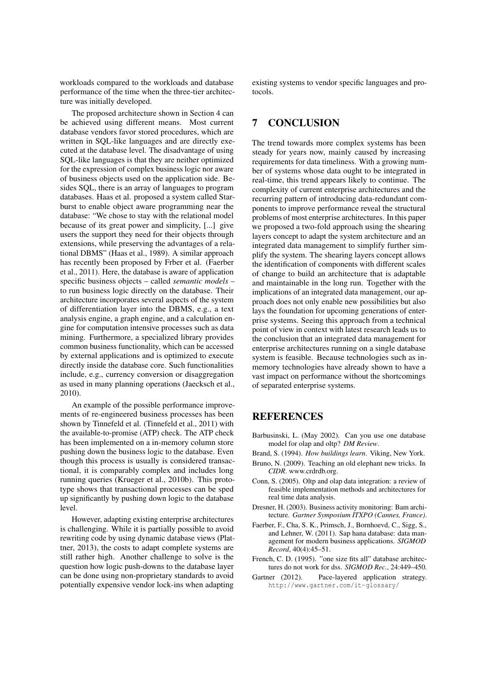workloads compared to the workloads and database performance of the time when the three-tier architecture was initially developed.

The proposed architecture shown in Section 4 can be achieved using different means. Most current database vendors favor stored procedures, which are written in SQL-like languages and are directly executed at the database level. The disadvantage of using SQL-like languages is that they are neither optimized for the expression of complex business logic nor aware of business objects used on the application side. Besides SQL, there is an array of languages to program databases. Haas et al. proposed a system called Starburst to enable object aware programming near the database: "We chose to stay with the relational model because of its great power and simplicity, [...] give users the support they need for their objects through extensions, while preserving the advantages of a relational DBMS" (Haas et al., 1989). A similar approach has recently been proposed by Frber et al. (Faerber et al., 2011). Here, the database is aware of application specific business objects – called *semantic models* – to run business logic directly on the database. Their architecture incorporates several aspects of the system of differentiation layer into the DBMS, e.g., a text analysis engine, a graph engine, and a calculation engine for computation intensive processes such as data mining. Furthermore, a specialized library provides common business functionality, which can be accessed by external applications and is optimized to execute directly inside the database core. Such functionalities include, e.g., currency conversion or disaggregation as used in many planning operations (Jaecksch et al., 2010).

An example of the possible performance improvements of re-engineered business processes has been shown by Tinnefeld et al. (Tinnefeld et al., 2011) with the available-to-promise (ATP) check. The ATP check has been implemented on a in-memory column store pushing down the business logic to the database. Even though this process is usually is considered transactional, it is comparably complex and includes long running queries (Krueger et al., 2010b). This prototype shows that transactional processes can be sped up significantly by pushing down logic to the database level.

However, adapting existing enterprise architectures is challenging. While it is partially possible to avoid rewriting code by using dynamic database views (Plattner, 2013), the costs to adapt complete systems are still rather high. Another challenge to solve is the question how logic push-downs to the database layer can be done using non-proprietary standards to avoid potentially expensive vendor lock-ins when adapting

existing systems to vendor specific languages and protocols.

# 7 CONCLUSION

The trend towards more complex systems has been steady for years now, mainly caused by increasing requirements for data timeliness. With a growing number of systems whose data ought to be integrated in real-time, this trend appears likely to continue. The complexity of current enterprise architectures and the recurring pattern of introducing data-redundant components to improve performance reveal the structural problems of most enterprise architectures. In this paper we proposed a two-fold approach using the shearing layers concept to adapt the system architecture and an integrated data management to simplify further simplify the system. The shearing layers concept allows the identification of components with different scales of change to build an architecture that is adaptable and maintainable in the long run. Together with the implications of an integrated data management, our approach does not only enable new possibilities but also lays the foundation for upcoming generations of enterprise systems. Seeing this approach from a technical point of view in context with latest research leads us to the conclusion that an integrated data management for enterprise architectures running on a single database system is feasible. Because technologies such as inmemory technologies have already shown to have a vast impact on performance without the shortcomings of separated enterprise systems.

### REFERENCES

- Barbusinski, L. (May 2002). Can you use one database model for olap and oltp? *DM Review*.
- Brand, S. (1994). *How buildings learn*. Viking, New York.
- Bruno, N. (2009). Teaching an old elephant new tricks. In *CIDR*. www.crdrdb.org.
- Conn, S. (2005). Oltp and olap data integration: a review of feasible implementation methods and architectures for real time data analysis.
- Dresner, H. (2003). Business activity monitoring: Bam architecture. *Gartner Symposium ITXPO (Cannes, France)*.
- Faerber, F., Cha, S. K., Primsch, J., Bornhoevd, C., Sigg, S., and Lehner, W. (2011). Sap hana database: data management for modern business applications. *SIGMOD Record*, 40(4):45–51.
- French, C. D. (1995). "one size fits all" database architectures do not work for dss. *SIGMOD Rec.*, 24:449–450.
- Gartner (2012). Pace-layered application strategy. http://www.gartner.com/it-glossary/